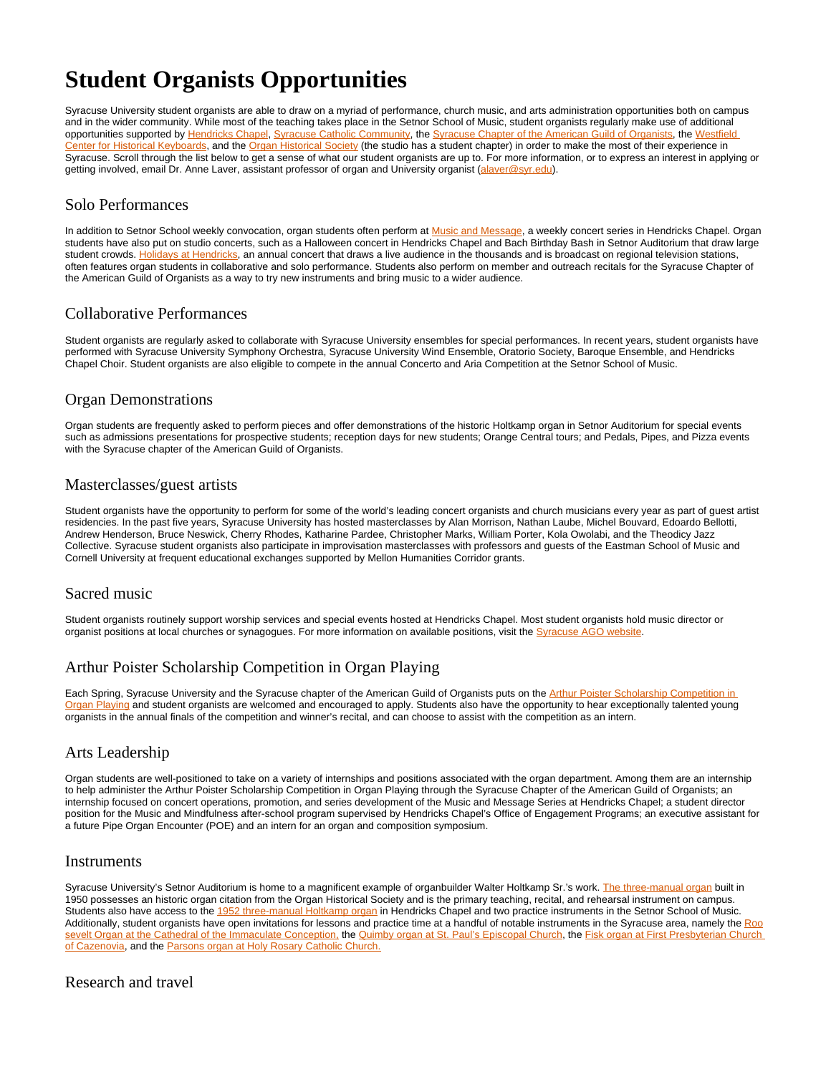# **Student Organists Opportunities**

Syracuse University student organists are able to draw on a myriad of performance, church music, and arts administration opportunities both on campus and in the wider community. While most of the teaching takes place in the Setnor School of Music, student organists regularly make use of additional opportunities supported by [Hendricks Chapel,](http://hendricks.syr.edu/) [Syracuse Catholic Community](http://hendricks.syr.edu/spiritual-life/chaplaincies.html), the [Syracuse Chapter of the American Guild of Organists,](http://syracuseago.org/) the [Westfield](http://westfield.org/)  [Center for Historical Keyboards](http://westfield.org/), and the [Organ Historical Society](https://organhistoricalsociety.org/) (the studio has a student chapter) in order to make the most of their experience in Syracuse. Scroll through the list below to get a sense of what our student organists are up to. For more information, or to express an interest in applying or getting involved, email Dr. Anne Laver, assistant professor of organ and University organist [\(alaver@syr.edu](mailto:alaver@syr.edu)).

#### Solo Performances

In addition to Setnor School weekly convocation, organ students often perform at [Music and Message,](http://hendricks.syr.edu/Music/Music%20and%20Message.html) a weekly concert series in Hendricks Chapel. Organ students have also put on studio concerts, such as a Halloween concert in Hendricks Chapel and Bach Birthday Bash in Setnor Auditorium that draw large student crowds. [Holidays at Hendricks](http://hendricks.syr.edu/Music/holidays-at-hendricks.html), an annual concert that draws a live audience in the thousands and is broadcast on regional television stations, often features organ students in collaborative and solo performance. Students also perform on member and outreach recitals for the Syracuse Chapter of the American Guild of Organists as a way to try new instruments and bring music to a wider audience.

### Collaborative Performances

Student organists are regularly asked to collaborate with Syracuse University ensembles for special performances. In recent years, student organists have performed with Syracuse University Symphony Orchestra, Syracuse University Wind Ensemble, Oratorio Society, Baroque Ensemble, and Hendricks Chapel Choir. Student organists are also eligible to compete in the annual Concerto and Aria Competition at the Setnor School of Music.

### Organ Demonstrations

Organ students are frequently asked to perform pieces and offer demonstrations of the historic Holtkamp organ in Setnor Auditorium for special events such as admissions presentations for prospective students; reception days for new students; Orange Central tours; and Pedals, Pipes, and Pizza events with the Syracuse chapter of the American Guild of Organists.

#### Masterclasses/guest artists

Student organists have the opportunity to perform for some of the world's leading concert organists and church musicians every year as part of guest artist residencies. In the past five years, Syracuse University has hosted masterclasses by Alan Morrison, Nathan Laube, Michel Bouvard, Edoardo Bellotti, Andrew Henderson, Bruce Neswick, Cherry Rhodes, Katharine Pardee, Christopher Marks, William Porter, Kola Owolabi, and the Theodicy Jazz Collective. Syracuse student organists also participate in improvisation masterclasses with professors and guests of the Eastman School of Music and Cornell University at frequent educational exchanges supported by Mellon Humanities Corridor grants.

#### Sacred music

Student organists routinely support worship services and special events hosted at Hendricks Chapel. Most student organists hold music director or organist positions at local churches or synagogues. For more information on available positions, visit the [Syracuse AGO website.](http://syracuseago.org/)

## Arthur Poister Scholarship Competition in Organ Playing

Each Spring, Syracuse University and the Syracuse chapter of the American Guild of Organists puts on the Arthur Poister Scholarship Competition in [Organ Playing](https://www.facebook.com/poisterscholarship/) and student organists are welcomed and encouraged to apply. Students also have the opportunity to hear exceptionally talented young organists in the annual finals of the competition and winner's recital, and can choose to assist with the competition as an intern.

#### Arts Leadership

Organ students are well-positioned to take on a variety of internships and positions associated with the organ department. Among them are an internship to help administer the Arthur Poister Scholarship Competition in Organ Playing through the Syracuse Chapter of the American Guild of Organists; an internship focused on concert operations, promotion, and series development of the Music and Message Series at Hendricks Chapel; a student director position for the Music and Mindfulness after-school program supervised by Hendricks Chapel's Office of Engagement Programs; an executive assistant for a future Pipe Organ Encounter (POE) and an intern for an organ and composition symposium.

#### Instruments

Syracuse University's Setnor Auditorium is home to a magnificent example of organbuilder Walter Holtkamp Sr.'s work. [The three-manual organ](https://vpa.syr.edu/wp-content/uploads/Setnor-Auditorium-Organ_A.pdf) built in 1950 possesses an historic organ citation from the Organ Historical Society and is the primary teaching, recital, and rehearsal instrument on campus. Students also have access to the [1952 three-manual Holtkamp organ](http://hendricks.syr.edu/Music/hendricks-chapel-organ.html) in Hendricks Chapel and two practice instruments in the Setnor School of Music. Additionally, student organists have open invitations for lessons and practice time at a handful of notable instruments in the Syracuse area, namely the [Roo](http://music.cathedralsyracuse.org/pipe-organ/) [sevelt Organ at the Cathedral of the Immaculate Conception,](http://music.cathedralsyracuse.org/pipe-organ/) the [Quimby organ at St. Paul's Episcopal Church](https://www.stpaulsyr.org/the-organ-at-st-pauls.html), the Fisk organ at First Presbyterian Church [of Cazenovia,](http://cbfisk.com/opus/opus-70/) and the [Parsons organ at Holy Rosary Catholic Church.](http://www.parsonsorgans.com/home/projectslist/shr/)

#### Research and travel